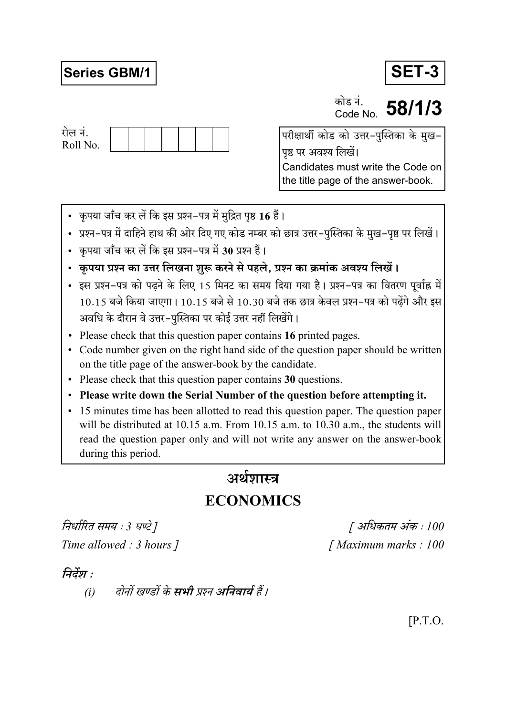# **Series GBM/1**



कोड नं.  $\frac{\text{m/s}}{\text{Code No}}$  58/1/3



परीक्षार्थी कोड को उत्तर-पुस्तिका के मुख-पृष्ठ पर अवश्य लिखें। Candidates must write the Code on the title page of the answer-book.

- कृपया जाँच कर लें कि इस प्रश्न-पत्र में मुद्रित पृष्ठ 16 हैं।
- प्रश्न–पत्र में दाहिने हाथ की ओर दिए गए कोड नम्बर को छात्र उत्तर–पुस्तिका के मुख–पृष्ठ पर लिखें।
- कृपया जाँच कर लें कि इस प्रश्न-पत्र में 30 प्रश्न हैं।
- कृपया प्रश्न का उत्तर लिखना शुरू करने से पहले, प्रश्न का क्रमांक अवश्य लिखें।
- इस प्रश्न-पत्र को पढने के लिए 15 मिनट का समय दिया गया है। प्रश्न-पत्र का वितरण पूर्वाह्न में 10.15 बजे किया जाएगा। 10.15 बजे से 10.30 बजे तक छात्र केवल प्रश्न-पत्र को पढ़ेंगे और इस अवधि के दौरान वे उत्तर-पुस्तिका पर कोई उत्तर नहीं लिखेंगे।
- Please check that this question paper contains 16 printed pages.
- Code number given on the right hand side of the question paper should be written on the title page of the answer-book by the candidate.
- Please check that this question paper contains 30 questions.
- Please write down the Serial Number of the question before attempting it.
- 15 minutes time has been allotted to read this question paper. The question paper will be distributed at 10.15 a.m. From 10.15 a.m. to 10.30 a.m., the students will read the question paper only and will not write any answer on the answer-book during this period.

# अर्थशास्त्र

# **ECONOMICS**

निर्धारित समय : 3 घण्टे ] Time allowed : 3 hours 1

[ अधिकतम अंक : 100 [Maximum marks: 100]

## निर्देश :

दोनों खण्डों के **सभी** प्रश्न अनिवार्य हैं।  $(i)$ 

 $[$ P.T.O.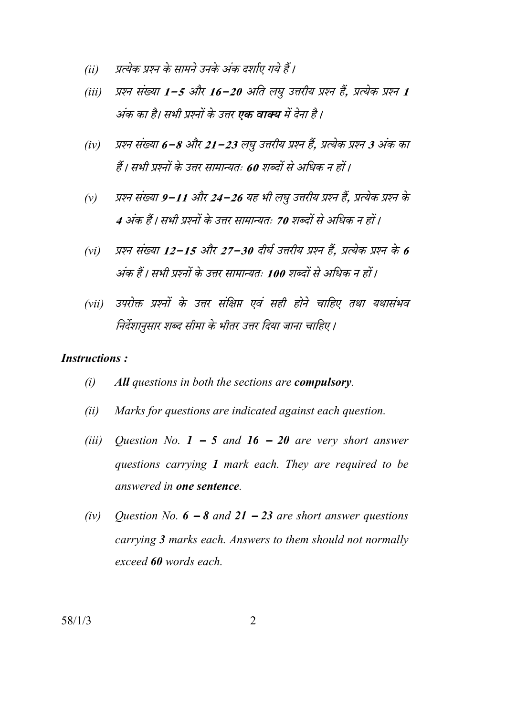- प्रत्येक प्रश्न के सामने उनके अंक दर्शाए गये हैं।  $(ii)$
- प्रश्न संख्या 1-5 और 16-20 अति लघु उत्तरीय प्रश्न हैं, प्रत्येक प्रश्न 1  $(iii)$ अंक का है। सभी प्रश्नों के उत्तर **एक वाक्य** में देना है।
- प्रश्न संख्या 6−8 और 21−23 लघु उत्तरीय प्रश्न हैं, प्रत्येक प्रश्न 3 अंक का  $(iv)$ हैं। सभी प्रश्नों के उत्तर सामान्यतः 60 शब्दों से अधिक न हों।
- प्रश्न संख्या 9–11 और 24–26 यह भी लघु उत्तरीय प्रश्न हैं. प्रत्येक प्रश्न के  $(v)$ 4 अंक हैं। सभी प्रश्नों के उत्तर सामान्यतः 70 शब्दों से अधिक न हों।
- प्रश्न संख्या 12–15 और 27–30 दीर्घ उत्तरीय प्रश्न हैं. प्रत्येक प्रश्न के 6  $(vi)$ अंक हैं। सभी प्रश्नों के उत्तर सामान्यतः 100 शब्दों से अधिक न हों।
- उपरोक्त प्रश्नों के उत्तर संक्षिप्त एवं सही होने चाहिए तथा यथासंभव  $(vii)$ निर्देशानुसार शब्द सीमा के भीतर उत्तर दिया जाना चाहिए।

#### **Instructions:**

- $(i)$ All questions in both the sections are compulsory.
- Marks for questions are indicated against each question.  $(ii)$
- $(iii)$ Question No.  $1 - 5$  and  $16 - 20$  are very short answer questions carrying 1 mark each. They are required to be answered in one sentence.
- $(iv)$ Question No.  $6 - 8$  and  $21 - 23$  are short answer questions carrying 3 marks each. Answers to them should not normally exceed 60 words each.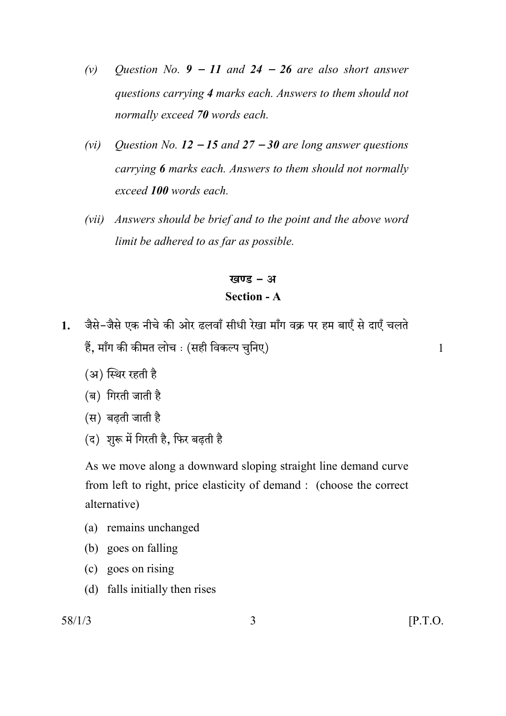- *(v) Question No. 9* − *11 and 24* − *26 are also short answer questions carrying 4 marks each. Answers to them should not normally exceed 70 words each.*
- *(vi) Question No. 12* − *15 and 27* − *30 are long answer questions carrying 6 marks each. Answers to them should not normally exceed 100 words each.*
- *(vii) Answers should be brief and to the point and the above word limit be adhered to as far as possible.*

खण्ड $-$  अ

### **Section - A**

- 1. जैसे-जैसे एक नीचे की ओर ढलवाँ सीधी रेखा माँग वक्र पर हम बाएँ से दाएँ चलते हैं, माँग की कीमत लोच : (सही विकल्प चुनिए) या सामान कर से साथ पानी के साथ पानी से साथ प
	-

- (अ) स्थिर रहती है
- (ब) गिरती जाती है
- $(H)$  बढती जाती है
- (द) शुरू में गिरती है, फिर बढ़ती है

 As we move along a downward sloping straight line demand curve from left to right, price elasticity of demand : (choose the correct alternative)

- (a) remains unchanged
- (b) goes on falling
- (c) goes on rising
- (d) falls initially then rises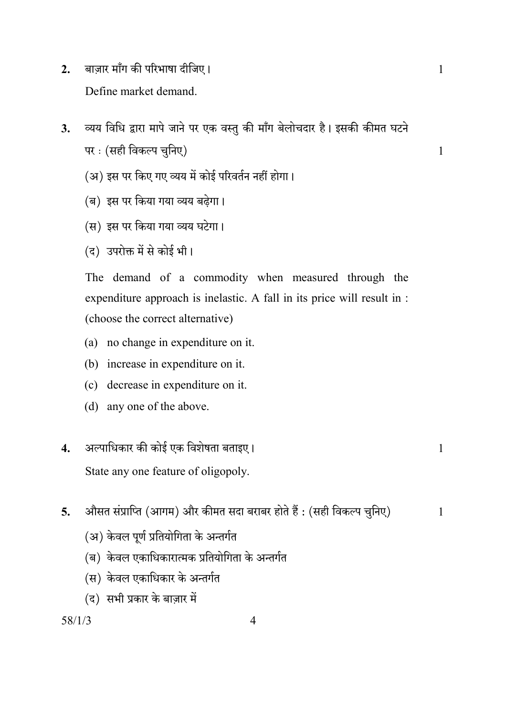- बाज़ार माँग की परिभाषा दीजिए।  $2.$ Define market demand.
- व्यय विधि द्वारा मापे जाने पर एक वस्तु की माँग बेलोचदार है। इसकी कीमत घटने  $3<sub>1</sub>$ पर : (सही विकल्प चुनिए)
	- (अ) इस पर किए गए व्यय में कोई परिवर्तन नहीं होगा।
	- (ब) इस पर किया गया व्यय बढेगा।
	- (स) इस पर किया गया व्यय घटेगा।
	- (द) उपरोक्त में से कोई भी।

The demand of a commodity when measured through the expenditure approach is inelastic. A fall in its price will result in : (choose the correct alternative)

- (a) no change in expenditure on it.
- (b) increase in expenditure on it.
- (c) decrease in expenditure on it.
- (d) any one of the above.

#### अल्पाधिकार की कोई एक विशेषता बताइए।  $\overline{\mathbf{4}}$ .

State any one feature of oligopoly.

- औसत संप्राप्ति (आगम) और कीमत सदा बराबर होते हैं : (सही विकल्प चुनिए)  $\overline{5}$ .
	- (अ) केवल पूर्ण प्रतियोगिता के अन्तर्गत
	- (ब) केवल एकाधिकारात्मक प्रतियोगिता के अन्तर्गत
	- (स) केवल एकाधिकार के अन्तर्गत
	- (द) सभी प्रकार के बाज़ार में

### $58/1/3$

 $\mathbf{1}$ 

 $\mathbf{1}$ 

 $\mathbf{1}$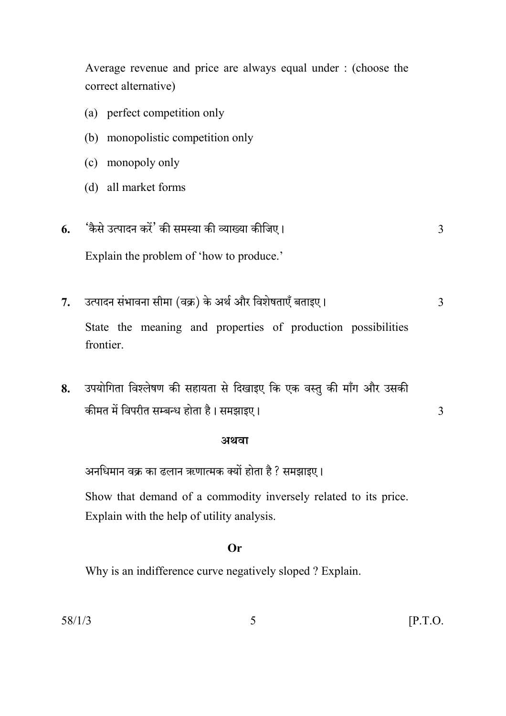Average revenue and price are always equal under : (choose the correct alternative)

- (a) perfect competition only
- (b) monopolistic competition only
- (c) monopoly only
- (d) all market forms
- 'कैसे उत्पादन करें' की समस्या की व्याख्या कीजिए। 6.  $\overline{3}$

Explain the problem of 'how to produce.'

उत्पादन संभावना सीमा (वक्र) के अर्थ और विशेषताएँ बताइए।  $7.$  $\overline{3}$ 

State the meaning and properties of production possibilities frontier.

उपयोगिता विश्लेषण की सहायता से दिखाइए कि एक वस्तु की माँग और उसकी 8. कीमत में विपरीत सम्बन्ध होता है। समझाइए।

#### अथवा

अनधिमान वक्र का ढलान ऋणात्मक क्यों होता है ? समझाइए।

Show that demand of a commodity inversely related to its price. Explain with the help of utility analysis.

### $Or$

Why is an indifference curve negatively sloped? Explain.

 $\overline{3}$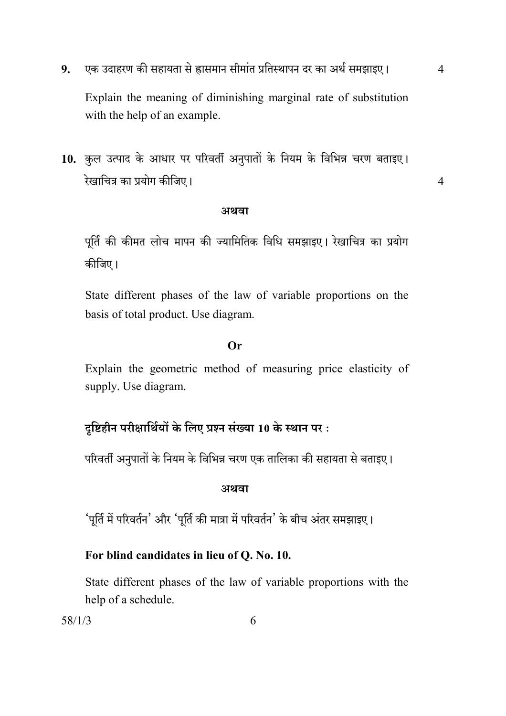एक उदाहरण की सहायता से ह्रासमान सीमांत प्रतिस्थापन दर का अर्थ समझाइए।  $9<sub>r</sub>$ 

 $\overline{4}$ 

 $\overline{4}$ 

Explain the meaning of diminishing marginal rate of substitution with the help of an example.

10. कुल उत्पाद के आधार पर परिवर्ती अनुपातों के नियम के विभिन्न चरण बताइए। रेखाचित्र का प्रयोग कीजिए।

#### अथवा

पूर्ति की कीमत लोच मापन की ज्यामितिक विधि समझाइए। रेखाचित्र का प्रयोग कीजिए।

State different phases of the law of variable proportions on the basis of total product. Use diagram.

#### $Or$

Explain the geometric method of measuring price elasticity of supply. Use diagram.

### दृष्टिहीन परीक्षार्थियों के लिए प्रश्न संख्या 10 के स्थान पर:

परिवर्ती अनुपातों के नियम के विभिन्न चरण एक तालिका की सहायता से बताइए।

#### अथवा

'पूर्ति में परिवर्तन' और 'पूर्ति की मात्रा में परिवर्तन' के बीच अंतर समझाइए।

### For blind candidates in lieu of Q. No. 10.

State different phases of the law of variable proportions with the help of a schedule.

 $58/1/3$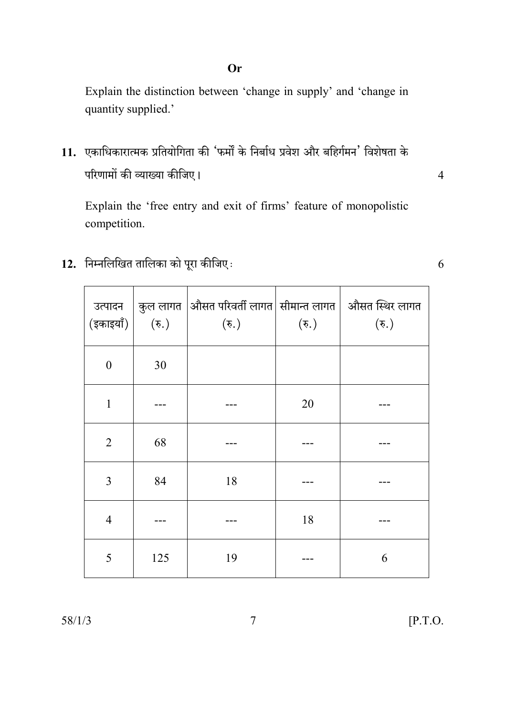### Or

Explain the distinction between 'change in supply' and 'change in quantity supplied.'

11. एकाधिकारात्मक प्रतियोगिता की 'फर्मों के निर्बाध प्रवेश और बहिर्गमन' विशेषता के परिणामों की व्याख्या कीजिए।

Explain the 'free entry and exit of firms' feature of monopolistic competition.

12. निम्नलिखित तालिका को पूरा कीजिए:

| उत्पादन<br>(इकाइयाँ) | $(\overline{\mathfrak{F}})$ | $\mid$ कुल लागत $\mid$ औसत परिवर्ती लागत $\mid$ सीमान्त लागत $\mid\,$ औसत स्थिर लागत<br>$(\overline{\mathfrak{F}})$ | $(\overline{\mathfrak{F}})$ | $(\overline{\mathfrak{F}})$ |
|----------------------|-----------------------------|---------------------------------------------------------------------------------------------------------------------|-----------------------------|-----------------------------|
| $\boldsymbol{0}$     | 30                          |                                                                                                                     |                             |                             |
| $\mathbf{1}$         |                             |                                                                                                                     | 20                          |                             |
| $\overline{2}$       | 68                          |                                                                                                                     |                             |                             |
| 3                    | 84                          | 18                                                                                                                  |                             |                             |
| $\overline{4}$       |                             |                                                                                                                     | 18                          |                             |
| 5                    | 125                         | 19                                                                                                                  |                             | 6                           |

6

 $\overline{4}$ 

 $\overline{7}$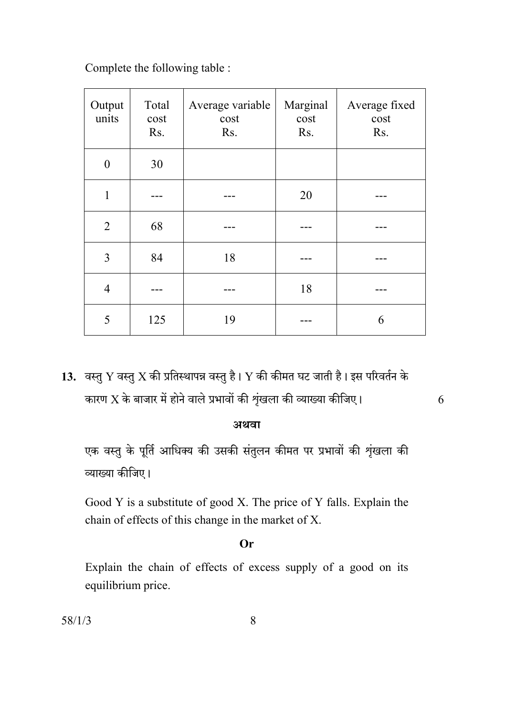Complete the following table :

| Output<br>units | Total<br>cost<br>Rs. | Average variable<br>cost<br>Rs. | Marginal<br>cost<br>Rs. | Average fixed<br>cost<br>Rs. |
|-----------------|----------------------|---------------------------------|-------------------------|------------------------------|
| $\overline{0}$  | 30                   |                                 |                         |                              |
| 1               |                      |                                 | 20                      |                              |
| $\overline{2}$  | 68                   |                                 |                         |                              |
| 3               | 84                   | 18                              |                         |                              |
| $\overline{4}$  |                      |                                 | 18                      |                              |
| 5               | 125                  | 19                              |                         | 6                            |

13. वस्तु Y वस्तु X की प्रतिस्थापन्न वस्तु है। Y की कीमत घट जाती है। इस परिवर्तन के कारण  $\overline{X}$  के बाजार में होने वाले प्रभावों की शृंखला की व्याख्या कीजिए।

### अथवा

6

एक वस्तु के पूर्ति आधिक्य की उसकी संतुलन कीमत पर प्रभावों की शृंखला की व्याख्या कीजिए।

Good Y is a substitute of good X. The price of Y falls. Explain the chain of effects of this change in the market of X.

#### Or

Explain the chain of effects of excess supply of a good on its equilibrium price.

 $58/1/3$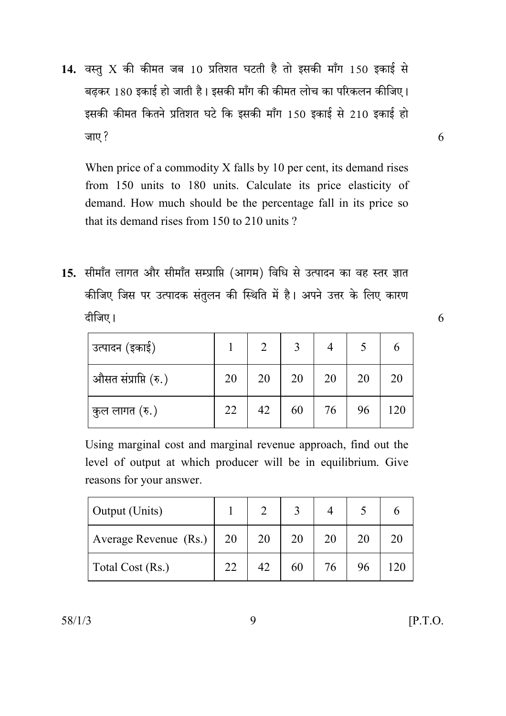14. वस्तु X की कीमत जब 10 प्रतिशत घटती है तो इसकी माँग 150 इकाई से बढकर 180 इकाई हो जाती है। इसकी माँग की कीमत लोच का परिकलन कीजिए। इसकी कीमत कितने प्रतिशत घटे कि इसकी माँग 150 इकाई से 210 इकाई हो जाए ?

When price of a commodity X falls by 10 per cent, its demand rises from 150 units to 180 units. Calculate its price elasticity of demand. How much should be the percentage fall in its price so that its demand rises from 150 to 210 units?

15. सीमाँत लागत और सीमाँत सम्प्राप्ति (आगम) विधि से उत्पादन का वह स्तर ज्ञात कीजिए जिस पर उत्पादक संतुलन की स्थिति में है। अपने उत्तर के लिए कारण दीजिए।

| उत्पादन (इकाई)       |    |    | $\mathbf{c}$ |    |    |     |
|----------------------|----|----|--------------|----|----|-----|
| औसत संप्राप्ति (रु.) | 20 | 20 | 20           | 20 | 20 | 20  |
| कुल लागत (रु.)       | 22 | 42 | 60           | 76 | 96 | 120 |

Using marginal cost and marginal revenue approach, find out the level of output at which producer will be in equilibrium. Give reasons for your answer.

| <b>Output</b> (Units) |    |    |    |    |  |
|-----------------------|----|----|----|----|--|
| Average Revenue (Rs.) | 20 | 20 | 20 | 20 |  |
| Total Cost (Rs.)      | 22 | 42 | 60 | 76 |  |

 $[$ P.T.O.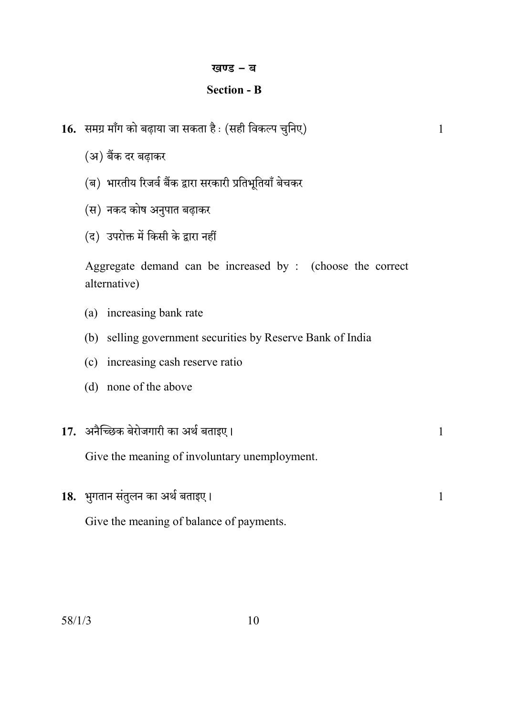#### खण्ड - ब

### **Section - B**

 $\mathbf{1}$ 

 $\mathbf{1}$ 

- 16. समग्र माँग को बढ़ाया जा सकता है : (सही विकल्प चुनिए)
	- (अ) बैंक दर बढ़ाकर
	- (ब) भारतीय रिजर्व बैंक द्वारा सरकारी प्रतिभूतियाँ बेचकर
	- (स) नकद कोष अनुपात बढ़ाकर
	- (द) उपरोक्त में किसी के द्वारा नहीं

Aggregate demand can be increased by : (choose the correct alternative)

- (a) increasing bank rate
- (b) selling government securities by Reserve Bank of India
- (c) increasing cash reserve ratio
- (d) none of the above

| 17. अनैच्छिक बेरोजगारी का अर्थ बताइए। |  |
|---------------------------------------|--|
|                                       |  |

Give the meaning of involuntary unemployment.

18. भुगतान संतुलन का अर्थ बताइए। Give the meaning of balance of payments.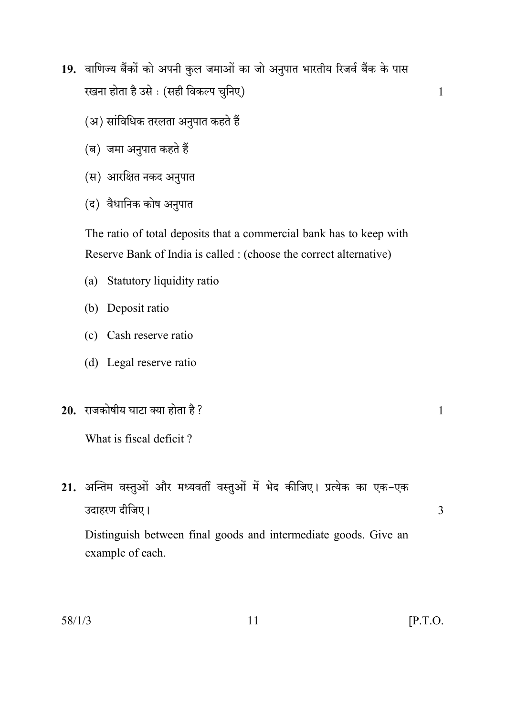- 19. वाणिज्य बैंकों को अपनी कुल जमाओं का जो अनुपात भारतीय रिजर्व बैंक के पास रखना होता है उसे : (सही विकल्प चुनिए)
	- (अ) सांविधिक तरलता अनुपात कहते हैं
	- (ब) जमा अनुपात कहते हैं
	- (स) आरक्षित नकद अनुपात
	- (द) वैधानिक कोष अनुपात

The ratio of total deposits that a commercial bank has to keep with Reserve Bank of India is called : (choose the correct alternative)

- (a) Statutory liquidity ratio
- (b) Deposit ratio
- (c) Cash reserve ratio
- (d) Legal reserve ratio
- 20. राजकोषीय घाटा क्या होता है?

What is fiscal deficit?

21. अन्तिम वस्तुओं और मध्यवर्ती वस्तुओं में भेद कीजिए। प्रत्येक का एक-एक उदाहरण दीजिए।

Distinguish between final goods and intermediate goods. Give an example of each.

 $\mathbf{1}$ 

3

 $\mathbf{1}$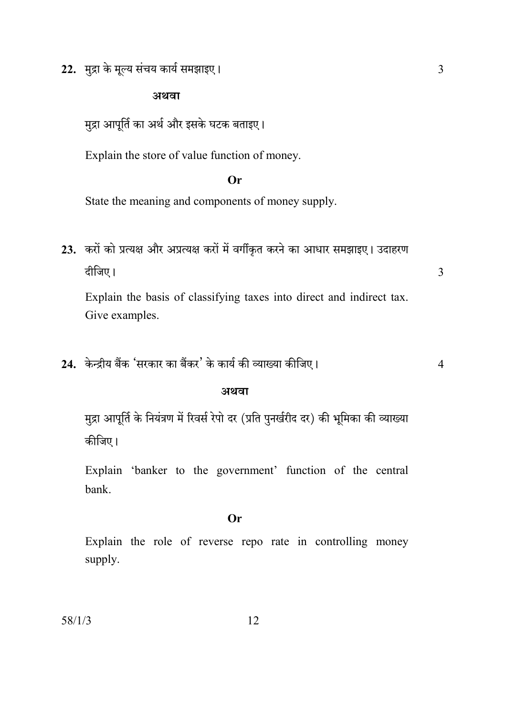22. मुद्रा के मूल्य संचय कार्य समझाइए।

### अथवा

मुद्रा आपूर्ति का अर्थ और इसके घटक बताइए।

Explain the store of value function of money.

### Or

State the meaning and components of money supply.

23. करों को प्रत्यक्ष और अप्रत्यक्ष करों में वर्गीकृत करने का आधार समझाइए। उदाहरण दीजिए।

Explain the basis of classifying taxes into direct and indirect tax. Give examples.

24. केन्द्रीय बैंक 'सरकार का बैंकर' के कार्य की व्याख्या कीजिए।

#### अथवा

मुद्रा आपूर्ति के नियंत्रण में रिवर्स रेपो दर (प्रति पुनर्खरीद दर) की भूमिका की व्याख्या कीजिए।

Explain 'banker to the government' function of the central hank

### $Or$

Explain the role of reverse repo rate in controlling money supply.

12

 $\overline{3}$ 

 $\overline{4}$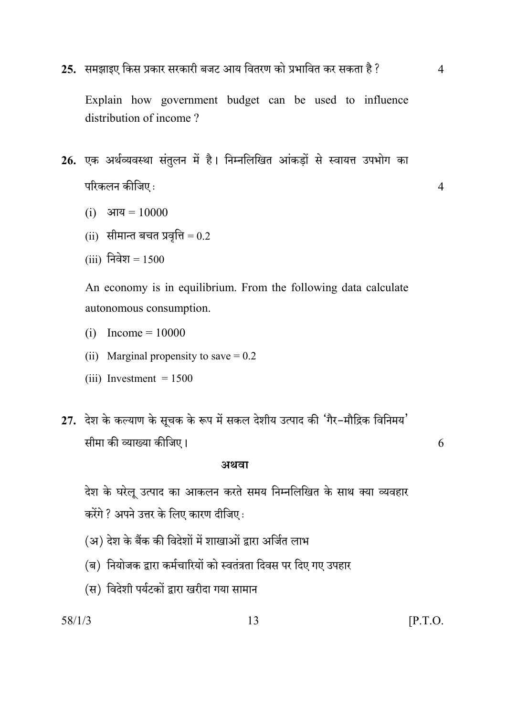25. समझाइए किस प्रकार सरकारी बजट आय वितरण को प्रभावित कर सकता है ?

 $\overline{4}$ 

 $\overline{4}$ 

Explain how government budget can be used to influence distribution of income?

- 26. एक अर्थव्यवस्था संतुलन में है। निम्नलिखित आंकड़ों से स्वायत्त उपभोग का परिकलन कीजिए:
	- (i) आय =  $10000$
	- (ii) सीमान्त बचत प्रवृत्ति =  $0.2$
	- (iii) निवेश =  $1500$

An economy is in equilibrium. From the following data calculate autonomous consumption.

- (i)  $Income = 10000$
- (ii) Marginal propensity to save  $= 0.2$
- (iii) Investment  $= 1500$
- 27. देश के कल्याण के सूचक के रूप में सकल देशीय उत्पाद की 'गैर-मौद्रिक विनिमय' सीमा की व्याख्या कीजिए।

#### अथवा

देश के घरेलू उत्पाद का आकलन करते समय निम्नलिखित के साथ क्या व्यवहार करेंगे ? अपने उत्तर के लिए कारण दीजिए:

- (अ) देश के बैंक की विदेशों में शाखाओं द्वारा अर्जित लाभ
- (ब) नियोजक द्वारा कर्मचारियों को स्वतंत्रता दिवस पर दिए गए उपहार
- (स) विदेशी पर्यटकों द्वारा खरीदा गया सामान

 $58/1/3$ 

 $[$ P.T.O.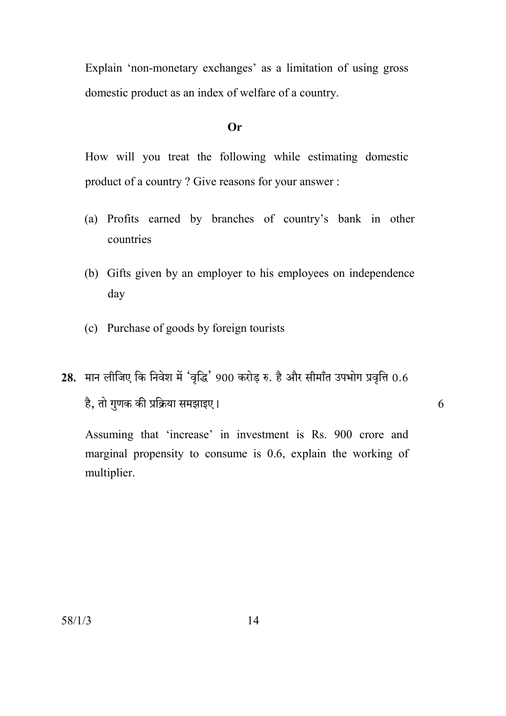Explain 'non-monetary exchanges' as a limitation of using gross domestic product as an index of welfare of a country.

#### $Or$

How will you treat the following while estimating domestic product of a country? Give reasons for your answer:

- (a) Profits earned by branches of country's bank in other countries
- (b) Gifts given by an employer to his employees on independence day
- (c) Purchase of goods by foreign tourists
- 28. मान लीजिए कि निवेश में 'वृद्धि' 900 करोड रु. है और सीमाँत उपभोग प्रवृत्ति 0.6 है, तो गुणक की प्रक्रिया समझाइए।

Assuming that 'increase' in investment is Rs. 900 crore and marginal propensity to consume is  $0.6$ , explain the working of multiplier.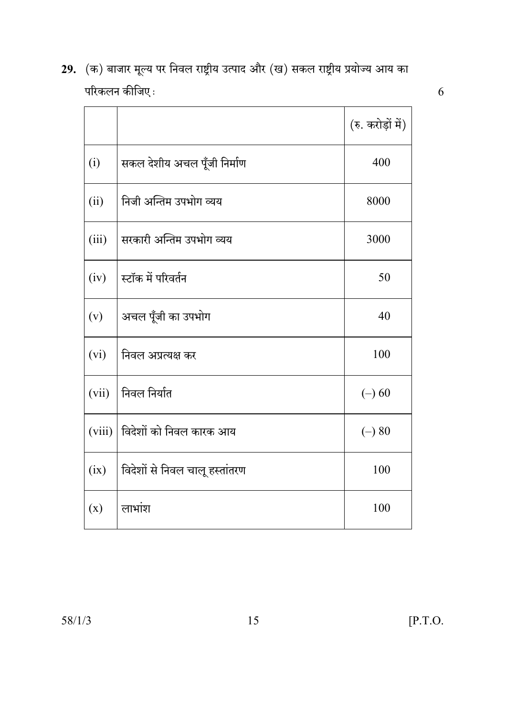29. (क) बाजार मूल्य पर निवल राष्ट्रीय उत्पाद और (ख) सकल राष्ट्रीय प्रयोज्य आय का परिकलन कीजिए $\colon$ 

|        |                                | (रु. करोड़ों में) |
|--------|--------------------------------|-------------------|
| (i)    | सकल देशीय अचल पूँजी निर्माण    | 400               |
| (ii)   | निजी अन्तिम उपभोग व्यय         | 8000              |
| (iii)  | सरकारी अन्तिम उपभोग व्यय       | 3000              |
| (iv)   | स्टॉक में परिवर्तन             | 50                |
| (v)    | अचल पूँजी का उपभोग             | 40                |
| (vi)   | निवल अप्रत्यक्ष कर             | 100               |
| (vii)  | निवल निर्यात                   | $(-) 60$          |
| (viii) | विदेशों को निवल कारक आय        | $(-) 80$          |
| (ix)   | विदेशों से निवल चालू हस्तांतरण | 100               |
| (x)    | लाभांश                         | 100               |

 $\overline{6}$